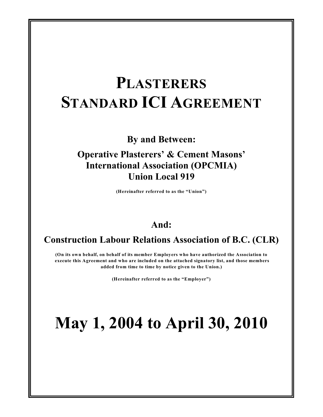# **PLASTERERS STANDARD ICI AGREEMENT**

**By and Between:**

**Operative Plasterers' & Cement Masons' International Association (OPCMIA) Union Local 919**

**(Hereinafter referred to as the "Union")**

# **And:**

# **Construction Labour Relations Association of B.C. (CLR)**

**(On its own behalf, on behalf of its member Employers who have authorized the Association to execute this Agreement and who are included on the attached signatory list, and those members added from time to time by notice given to the Union.)**

**(Hereinafter referred to as the "Employer")**

# **May 1, 2004 to April 30, 2010**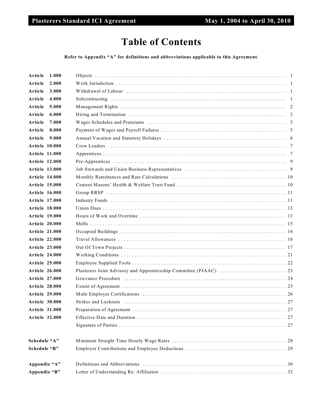# **Table of Contents**

**Refer to Appendix "A" for definitions and abbreviations applicable to this Agreement.**

| 1.000<br>Article      |  |
|-----------------------|--|
| 2.000<br>Article      |  |
| Article<br>3.000      |  |
| 4.000<br>Article      |  |
| Article<br>5.000      |  |
| Article<br>6.000      |  |
| Article<br>7.000      |  |
| Article<br>8.000      |  |
| Article<br>9.000      |  |
| <b>Article 10.000</b> |  |
| <b>Article 11.000</b> |  |
| <b>Article 12.000</b> |  |
| Article 13.000        |  |
| <b>Article 14.000</b> |  |
| <b>Article 15.000</b> |  |
| <b>Article 16.000</b> |  |
| <b>Article 17.000</b> |  |
| Article 18.000        |  |
| <b>Article 19.000</b> |  |
| <b>Article 20.000</b> |  |
| <b>Article 21.000</b> |  |
| <b>Article 22.000</b> |  |
| <b>Article 23.000</b> |  |
| <b>Article 24.000</b> |  |
| <b>Article 25.000</b> |  |
| <b>Article 26.000</b> |  |
| <b>Article 27.000</b> |  |
| Article 28.000        |  |
| <b>Article 29.000</b> |  |
| <b>Article 30.000</b> |  |
| <b>Article 31.000</b> |  |
| <b>Article 32.000</b> |  |
|                       |  |
| Schedule "A"          |  |
| Schedule "B"          |  |
| Appendix "A"          |  |
| Appendix "B"          |  |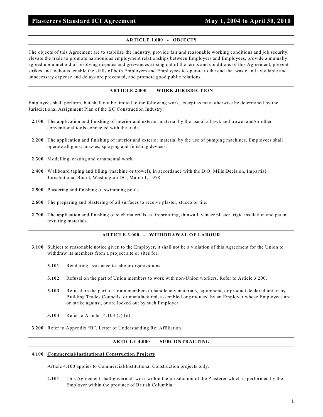# **ARTICLE 1.000 - OBJECTS**

The objects of this Agreement are to stabilize the industry, provide fair and reasonable working conditions and job security, elevate the trade to promote harmonious employment relationships between Employers and Employees, provide a mutually agreed upon method of resolving disputes and grievances arising out of the terms and conditions of this Agreement, prevent strikes and lockouts, enable the skills of both Employers and Employees to operate to the end that waste and avoidable and unnecessary expense and delays are prevented, and promote good public relations.

#### **ARTICLE 2.000 - WORK JURISDICTION**

Employees shall perform, but shall not be limited to the following work, except as may otherwise be determined by the Jurisdictional Assignment Plan of the BC Construction Industry:

- **2.100** The application and finishing of interior and exterior material by the use of a hawk and trowel and/or other conventional tools connected with the trade.
- **2.200** The application and finishing of interior and exterior material by the use of pumping machines. Employees shall operate all guns, nozzles, spraying and finishing devices.
- **2.300** Modelling, casting and ornamental work.
- **2.400** Wallboard taping and filling (machine or trowel), in accordance with the D.Q. Mills Decision, Impartial Jurisdictional Board, Washington DC, March 1, 1978.
- **2.500** Plastering and finishing of swimming pools.
- **2.600** The preparing and plastering of all surfaces to receive plaster, stucco or tile.
- **2.700** The application and finishing of such materials as fireproofing, thinwall, veneer plaster, rigid insulation and patent texturing materials.

# **ARTICLE 3.000 - WITHDRAWAL OF LABOUR**

- **3.100** Subject to reasonable notice given to the Employer, it shall not be a violation of this Agreement for the Union to withdraw its members from a project site or sites for:
	- **3.101** Rendering assistance to labour organizations.
	- **3.102** Refusal on the part of Union members to work with non-Union workers. Refer to Article 3.200.
	- **3.103** Refusal on the part of Union members to handle any materials, equipment, or product declared unfair by Building Trades Councils, or manufactured, assembled or produced by an Employer whose Employees are on strike against, or are locked out by such Employer.
	- **3.104** Refer to Article 14.103 (c) (ii).
- **3.200** Refer to Appendix "B", Letter of Understanding Re: Affiliation.

# **ARTICLE 4.000 - SUBCONTRACTING**

#### **4.100 Commercial/Institutional Construction Projects**

Article 4.100 applies to Commercial/Institutional Construction projects only.

**4.101** This Agreement shall govern all work within the jurisdiction of the Plasterer which is performed by the Employer within the province of British Columbia.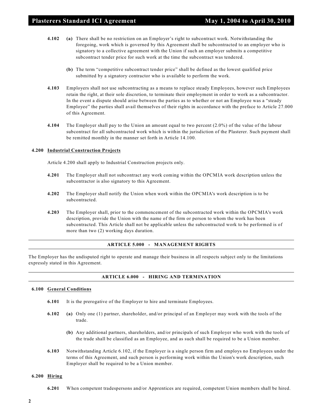- **4.102 (a)** There shall be no restriction on an Employer's right to subcontract work. Notwithstanding the foregoing, work which is governed by this Agreement shall be subcontracted to an employer who is signatory to a collective agreement with the Union if such an employer submits a competitive subcontract tender price for such work at the time the subcontract was tendered.
	- **(b)** The term "competitive subcontract tender price" shall be defined as the lowest qualified price submitted by a signatory contractor who is available to perform the work.
- **4.103** Employers shall not use subcontracting as a means to replace steady Employees, however such Employees retain the right, at their sole discretion, to terminate their employment in order to work as a subcontractor. In the event a dispute should arise between the parties as to whether or not an Employee was a "steady Employee" the parties shall avail themselves of their rights in accordance with the preface to Article 27.000 of this Agreement.
- **4.104** The Employer shall pay to the Union an amount equal to two percent (2.0%) of the value of the labour subcontract for all subcontracted work which is within the jurisdiction of the Plasterer. Such payment shall be remitted monthly in the manner set forth in Article 14.100.

# **4.200 Industrial Construction Projects**

Article 4.200 shall apply to Industrial Construction projects only.

- **4.201** The Employer shall not subcontract any work coming within the OPCMIA work description unless the subcontractor is also signatory to this Agreement.
- **4.202** The Employer shall notify the Union when work within the OPCMIA's work description is to be subcontracted.
- **4.203** The Employer shall, prior to the commencement of the subcontracted work within the OPCMIA's work description, provide the Union with the name of the firm or person to whom the work has been subcontracted. This Article shall not be applicable unless the subcontracted work to be performed is of more than two (2) working days duration.

# **ARTICLE 5.000 - MANAGEMENT RIGHTS**

The Employer has the undisputed right to operate and manage their business in all respects subject only to the limitations expressly stated in this Agreement.

# **ARTICLE 6.000 - HIRING AND TERMINATION**

# **6.100 General Conditions**

- **6.101** It is the prerogative of the Employer to hire and terminate Employees.
- **6.102 (a)** Only one (1) partner, shareholder, and/or principal of an Employer may work with the tools of the trade.
	- **(b)** Any additional partners, shareholders, and/or principals of such Employer who work with the tools of the trade shall be classified as an Employee, and as such shall be required to be a Union member.
- **6.103** Notwithstanding Article 6.102, if the Employer is a single person firm and employs no Employees under the terms of this Agreement, and such person is performing work within the Union's work description, such Employer shall be required to be a Union member.

#### **6.200 Hiring**

**6.201** When competent tradespersons and/or Apprentices are required, competent Union members shall be hired.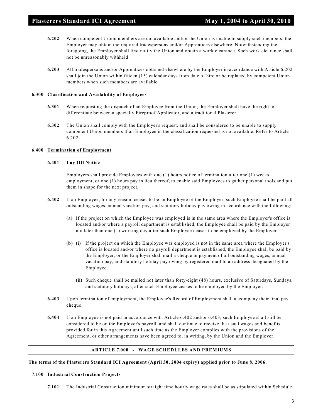- **6.202** When competent Union members are not available and/or the Union is unable to supply such members, the Employer may obtain the required tradespersons and/or Apprentices elsewhere. Notwithstanding the foregoing, the Employer shall first notify the Union and obtain a work clearance. Such work clearance shall not be unreasonably withheld
- **6.203** All tradespersons and/or Apprentices obtained elsewhere by the Employer in accordance with Article 6.202 shall join the Union within fifteen (15) calendar days from date of hire or be replaced by competent Union members when such members are available.

# **6.300 Classification and Availability of Employees**

- **6.301** When requesting the dispatch of an Employee from the Union, the Employer shall have the right to differentiate between a specialty Fireproof Applicator, and a traditional Plasterer.
- **6.302** The Union shall comply with the Employer's request, and shall be considered to be unable to supply competent Union members if an Employee in the classification requested is not available. Refer to Article 6.202.

# **6.400 Termination of Employment**

# **6.401 Lay Off Notice**

Employers shall provide Employees with one (1) hours notice of termination after one (1) weeks employment, or one (1) hours pay in lieu thereof, to enable said Employees to gather personal tools and put them in shape for the next project.

- **6.402** If an Employee, for any reason, ceases to be an Employee of the Employer, such Employee shall be paid all outstanding wages, annual vacation pay, and statutory holiday pay owing in accordance with the following:
	- **(a)** If the project on which the Employee was employed is in the same area where the Employer's office is located and/or where a payroll department is established, the Employee shall be paid by the Employer not later than one (1) working day after such Employee ceases to be employed by the Employer.
	- **(b) (i)** If the project on which the Employee was employed is not in the same area where the Employer's office is located and/or where no payroll department is established, the Employee shall be paid by the Employer, or the Employer shall mail a cheque in payment of all outstanding wages, annual vacation pay, and statutory holiday pay owing by registered mail to an address designated by the Employee.
		- **(ii)** Such cheque shall be mailed not later than forty-eight (48) hours, exclusive of Saturdays, Sundays, and statutory holidays, after such Employee ceases to be employed by the Employer.
- **6.403** Upon termination of employment, the Employee's Record of Employment shall accompany their final pay cheque.
- **6.404** If an Employee is not paid in accordance with Article 6.402 and/or 6.403, such Employee shall still be considered to be on the Employer's payroll, and shall continue to receive the usual wages and benefits provided for in this Agreement until such time as the Employer complies with the provisions of the Agreement, or other arrangements have been agreed to, in writing, by the Union and the Employer.

# **ARTICLE 7.000 - WAGE SCHEDULES AND PREMIUMS**

# **The terms of the Plasterers Standard ICI Agreement (April 30, 2004 expiry) applied prior to June 8, 2006.**

#### **7.100 Industrial Construction Projects**

**7.101** The Industrial Construction minimum straight time hourly wage rates shall be as stipulated within Schedule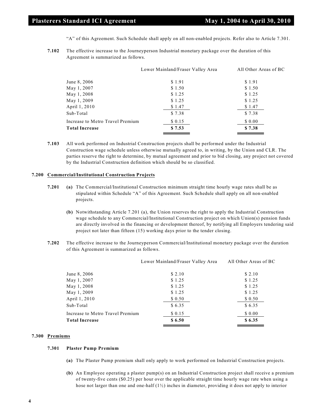"A" of this Agreement. Such Schedule shall apply on all non-enabled projects. Refer also to Article 7.301.

**7.102** The effective increase to the Journeyperson Industrial monetary package over the duration of this Agreement is summarized as follows.

|                                  | Lower Mainland/Fraser Valley Area | All Other Areas of BC |
|----------------------------------|-----------------------------------|-----------------------|
| June 8, 2006                     | \$1.91                            | \$1.91                |
| May 1, 2007                      | \$1.50                            | \$1.50                |
| May 1, 2008                      | \$1.25                            | \$1.25                |
| May 1, 2009                      | \$1.25                            | \$1.25                |
| April 1, 2010                    | \$1.47                            | \$1.47                |
| Sub-Total                        | \$7.38                            | \$7.38                |
| Increase to Metro Travel Premium | \$0.15                            | \$0.00                |
| <b>Total Increase</b>            | \$7.53                            | \$7.38                |

**7.103** All work performed on Industrial Construction projects shall be performed under the Industrial Construction wage schedule unless otherwise mutually agreed to, in writing, by the Union and CLR. The parties reserve the right to determine, by mutual agreement and prior to bid closing, any project not covered by the Industrial Construction definition which should be so classified.

#### **7.200 Commercial/Institutional Construction Projects**

- **7.201 (a)** The Commercial/Institutional Construction minimum straight time hourly wage rates shall be as stipulated within Schedule "A" of this Agreement. Such Schedule shall apply on all non-enabled projects.
	- **(b)** Notwithstanding Article 7.201 (a), the Union reserves the right to apply the Industrial Construction wage schedule to any Commercial/Institutional Construction project on which Union(s) pension funds are directly involved in the financing or development thereof, by notifying all Employers tendering said project not later than fifteen (15) working days prior to the tender closing.
- **7.202** The effective increase to the Journeyperson Commercial/Institutional monetary package over the duration of this Agreement is summarized as follows.

|                                  | Lower Mainland/Fraser Valley Area | All Other Areas of BC |
|----------------------------------|-----------------------------------|-----------------------|
| June 8, 2006                     | \$2.10                            | \$2.10                |
| May 1, 2007                      | \$1.25                            | \$1.25                |
| May 1, 2008                      | \$1.25                            | \$1.25                |
| May 1, 2009                      | \$1.25                            | \$1.25                |
| April 1, 2010                    | \$ 0.50                           | \$0.50                |
| Sub-Total                        | \$6.35                            | \$6.35                |
| Increase to Metro Travel Premium | \$0.15                            | \$0.00                |
| <b>Total Increase</b>            | \$6.50                            | \$6.35                |

#### **7.300 Premiums**

#### **7.301 Plaster Pump Premium**

- **(a)** The Plaster Pump premium shall only apply to work performed on Industrial Construction projects.
- **(b)** An Employee operating a plaster pump(s) on an Industrial Construction project shall receive a premium of twenty-five cents (\$0.25) per hour over the applicable straight time hourly wage rate when using a hose not larger than one and one-half (1½) inches in diameter, providing it does not apply to interior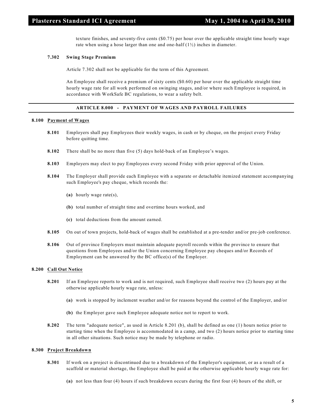texture finishes, and seventy-five cents (\$0.75) per hour over the applicable straight time hourly wage rate when using a hose larger than one and one-half  $(1/2)$  inches in diameter.

# **7.302 Swing Stage Premium**

Article 7.302 shall not be applicable for the term of this Agreement.

An Employee shall receive a premium of sixty cents (\$0.60) per hour over the applicable straight time hourly wage rate for all work performed on swinging stages, and/or where such Employee is required, in accordance with WorkSafe BC regulations, to wear a safety belt.

# **ARTICLE 8.000 - PAYMENT OF WAGES AND PAYROLL FAILURES**

#### **8.100 Payment of Wages**

- **8.101** Employers shall pay Employees their weekly wages, in cash or by cheque, on the project every Friday before quitting time.
- **8.102** There shall be no more than five (5) days hold-back of an Employee's wages.
- **8.103** Employers may elect to pay Employees every second Friday with prior approval of the Union.
- **8.104** The Employer shall provide each Employee with a separate or detachable itemized statement accompanying such Employee's pay cheque, which records the:
	- **(a)** hourly wage rate(s),
	- **(b)** total number of straight time and overtime hours worked, and
	- **(c)** total deductions from the amount earned.
- **8.105** On out of town projects, hold-back of wages shall be established at a pre-tender and/or pre-job conference.
- **8.106** Out of province Employers must maintain adequate payroll records within the province to ensure that questions from Employees and/or the Union concerning Employee pay cheques and/or Records of Employment can be answered by the BC office(s) of the Employer.

# **8.200 Call Out Notice**

- **8.201** If an Employee reports to work and is not required, such Employee shall receive two (2) hours pay at the otherwise applicable hourly wage rate, unless:
	- **(a)** work is stopped by inclement weather and/or for reasons beyond the control of the Employer, and/or
	- **(b)** the Employer gave such Employee adequate notice not to report to work.
- **8.202** The term "adequate notice", as used in Article 8.201 (b), shall be defined as one (1) hours notice prior to starting time when the Employee is accommodated in a camp, and two (2) hours notice prior to starting time in all other situations. Such notice may be made by telephone or radio.

#### **8.300 Project Breakdown**

- **8.301** If work on a project is discontinued due to a breakdown of the Employer's equipment, or as a result of a scaffold or material shortage, the Employee shall be paid at the otherwise applicable hourly wage rate for:
	- **(a)** not less than four (4) hours if such breakdown occurs during the first four (4) hours of the shift, or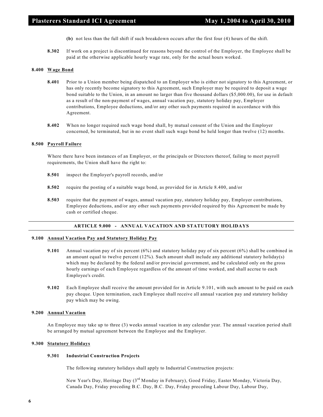- **(b)** not less than the full shift if such breakdown occurs after the first four (4) hours of the shift.
- **8.302** If work on a project is discontinued for reasons beyond the control of the Employer, the Employee shall be paid at the otherwise applicable hourly wage rate, only for the actual hours worked.

# **8.400 Wage Bond**

- **8.401** Prior to a Union member being dispatched to an Employer who is either not signatory to this Agreement, or has only recently become signatory to this Agreement, such Employer may be required to deposit a wage bond suitable to the Union, in an amount no larger than five thousand dollars (\$5,000.00), for use in default as a result of the non-payment of wages, annual vacation pay, statutory holiday pay, Employer contributions, Employee deductions, and/or any other such payments required in accordance with this Agreement.
- **8.402** When no longer required such wage bond shall, by mutual consent of the Union and the Employer concerned, be terminated, but in no event shall such wage bond be held longer than twelve (12) months.

#### **8.500 Payroll Failure**

Where there have been instances of an Employer, or the principals or Directors thereof, failing to meet payroll requirements, the Union shall have the right to:

- **8.501** inspect the Employer's payroll records, and/or
- **8.502** require the posting of a suitable wage bond, as provided for in Article 8.400, and/or
- **8.503** require that the payment of wages, annual vacation pay, statutory holiday pay, Employer contributions, Employee deductions, and/or any other such payments provided required by this Agreement be made by cash or certified cheque.

# **ARTICLE 9.000 - ANNUAL VACATION AND STATUTORY HOLIDAYS**

# **9.100 Annual Vacation Pay and Statutory Holiday Pay**

- **9.101** Annual vacation pay of six percent (6%) and statutory holiday pay of six percent (6%) shall be combined in an amount equal to twelve percent (12%). Such amount shall include any additional statutory holiday(s) which may be declared by the federal and/or provincial government, and be calculated only on the gross hourly earnings of each Employee regardless of the amount of time worked, and shall accrue to each Employee's credit.
- **9.102** Each Employee shall receive the amount provided for in Article 9.101, with such amount to be paid on each pay cheque. Upon termination, each Employee shall receive all annual vacation pay and statutory holiday pay which may be owing.

#### **9.200 Annual Vacation**

An Employee may take up to three (3) weeks annual vacation in any calendar year. The annual vacation period shall be arranged by mutual agreement between the Employee and the Employer.

#### **9.300 Statutory Holidays**

#### **9.301 Industrial Construction Projects**

The following statutory holidays shall apply to Industrial Construction projects:

New Year's Day, Heritage Day (3<sup>rd</sup> Monday in February), Good Friday, Easter Monday, Victoria Day, Canada Day, Friday preceding B.C. Day, B.C. Day, Friday preceding Labour Day, Labour Day,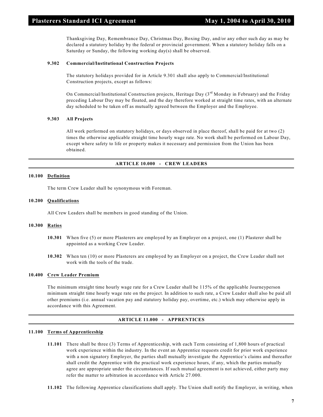Thanksgiving Day, Remembrance Day, Christmas Day, Boxing Day, and/or any other such day as may be declared a statutory holiday by the federal or provincial government. When a statutory holiday falls on a Saturday or Sunday, the following working day(s) shall be observed.

# **9.302 Commercial/Institutional Construction Projects**

The statutory holidays provided for in Article 9.301 shall also apply to Commercial/Institutional Construction projects, except as follows:

On Commercial/Institutional Construction projects, Heritage Day  $(3<sup>rd</sup> Monday in February)$  and the Friday preceding Labour Day may be floated, and the day therefore worked at straight time rates, with an alternate day scheduled to be taken off as mutually agreed between the Employer and the Employee.

# **9.303 All Projects**

All work performed on statutory holidays, or days observed in place thereof, shall be paid for at two (2) times the otherwise applicable straight time hourly wage rate. No work shall be performed on Labour Day, except where safety to life or property makes it necessary and permission from the Union has been obtained.

# **ARTICLE 10.000 - CREW LEADERS**

#### **10.100 Definition**

The term Crew Leader shall be synonymous with Foreman.

# **10.200 Qualifications**

All Crew Leaders shall be members in good standing of the Union.

# **10.300 Ratios**

- **10.301** When five (5) or more Plasterers are employed by an Employer on a project, one (1) Plasterer shall be appointed as a working Crew Leader.
- **10.302** When ten (10) or more Plasterers are employed by an Employer on a project, the Crew Leader shall not work with the tools of the trade.

#### **10.400 Crew Leader Premium**

The minimum straight time hourly wage rate for a Crew Leader shall be 115% of the applicable Journeyperson minimum straight time hourly wage rate on the project. In addition to such rate, a Crew Leader shall also be paid all other premiums (i.e. annual vacation pay and statutory holiday pay, overtime, etc.) which may otherwise apply in accordance with this Agreement.

#### **ARTICLE 11.000 - APPRENTICES**

#### **11.100 Terms of Apprenticeship**

- **11.101** There shall be three (3) Terms of Apprenticeship, with each Term consisting of 1,800 hours of practical work experience within the industry. In the event an Apprentice requests credit for prior work experience with a non signatory Employer, the parties shall mutually investigate the Apprentice's claims and thereafter shall credit the Apprentice with the practical work experience hours, if any, which the parties mutually agree are appropriate under the circumstances. If such mutual agreement is not achieved, either party may refer the matter to arbitration in accordance with Article 27.000.
- **11.102** The following Apprentice classifications shall apply. The Union shall notify the Employer, in writing, when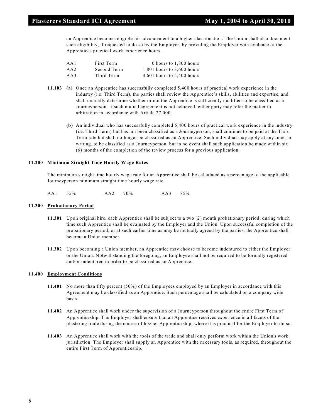an Apprentice becomes eligible for advancement to a higher classification. The Union shall also document such eligibility, if requested to do so by the Employer, by providing the Employer with evidence of the Apprentices practical work experience hours.

| AA1 | First Term  | 0 hours to 1,800 hours     |
|-----|-------------|----------------------------|
| AA2 | Second Term | 1,801 hours to 3,600 hours |
| AA3 | Third Term  | 3.601 hours to 5.400 hours |

- **11.103 (a)** Once an Apprentice has successfully completed 5,400 hours of practical work experience in the industry (i.e. Third Term), the parties shall review the Apprentice's skills, abilities and expertise, and shall mutually determine whether or not the Apprentice is sufficiently qualified to be classified as a Journeyperson. If such mutual agreement is not achieved, either party may refer the matter to arbitration in accordance with Article 27.000.
	- **(b)** An individual who has successfully completed 5,400 hours of practical work experience in the industry (i.e. Third Term) but has not been classified as a Journeyperson, shall continue to be paid at the Third Term rate but shall no longer be classified as an Apprentice. Such individual may apply at any time, in writing, to be classified as a Journeyperson, but in no event shall such application be made within six (6) months of the completion of the review process for a previous application.

# **11.200 Minimum Straight Time Hourly Wage Rates**

The minimum straight time hourly wage rate for an Apprentice shall be calculated as a percentage of the applicable Journeyperson minimum straight time hourly wage rate.

AA1 55% AA2 70% AA3 85%

# **11.300 Probationary Period**

- **11.301** Upon original hire, each Apprentice shall be subject to a two (2) month probationary period, during which time such Apprentice shall be evaluated by the Employer and the Union. Upon successful completion of the probationary period, or at such earlier time as may be mutually agreed by the parties, the Apprentice shall become a Union member.
- **11.302** Upon becoming a Union member, an Apprentice may choose to become indentured to either the Employer or the Union. Notwithstanding the foregoing, an Employee shall not be required to be formally registered and/or indentured in order to be classified as an Apprentice.

#### **11.400 Employment Conditions**

- **11.401** No more than fifty percent (50%) of the Employees employed by an Employer in accordance with this Agreement may be classified as an Apprentice. Such percentage shall be calculated on a company wide basis.
- **11.402** An Apprentice shall work under the supervision of a Journeyperson throughout the entire First Term of Apprenticeship. The Employer shall ensure that an Apprentice receives experience in all facets of the plastering trade during the course of his/her Apprenticeship, where it is practical for the Employer to do so.
- **11.403** An Apprentice shall work with the tools of the trade and shall only perform work within the Union's work jurisdiction. The Employer shall supply an Apprentice with the necessary tools, as required, throughout the entire First Term of Apprenticeship.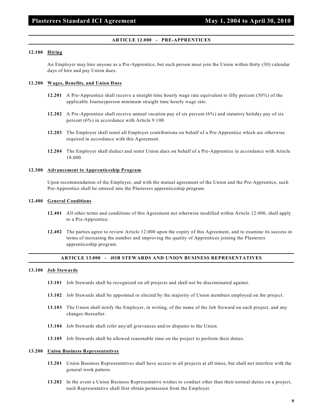#### **ARTICLE 12.000 - PRE-APPRENTICES**

#### **12.100 Hiring**

An Employer may hire anyone as a Pre-Apprentice, but such person must join the Union within thirty (30) calendar days of hire and pay Union dues.

#### **12.200 Wages, Benefits, and Union Dues**

- **12.201** A Pre-Apprentice shall receive a straight time hourly wage rate equivalent to fifty percent (50%) of the applicable Journeyperson minimum straight time hourly wage rate.
- **12.202** A Pre-Apprentice shall receive annual vacation pay of six percent (6%) and statutory holiday pay of six percent (6%) in accordance with Article 9.100.
- **12.203** The Employer shall remit all Employer contributions on behalf of a Pre-Apprentice which are otherwise required in accordance with this Agreement.
- **12.204** The Employer shall deduct and remit Union dues on behalf of a Pre-Apprentice in accordance with Article 18.000.

#### **12.300 Advancement to Apprenticeship Program**

Upon recommendation of the Employer, and with the mutual agreement of the Union and the Pre-Apprentice, such Pre-Apprentice shall be entered into the Plasterers apprenticeship program.

#### **12.400 General Conditions**

- **12.401** All other terms and conditions of this Agreement not otherwise modified within Article 12.000, shall apply to a Pre-Apprentice.
- **12.402** The parties agree to review Article 12.000 upon the expiry of this Agreement, and to examine its success in terms of increasing the number and improving the quality of Apprentices joining the Plasterers apprenticeship program.

# **ARTICLE 13.000 - JOB STEWARDS AND UNION BUSINESS REPRESENTATIVES**

#### **13.100 Job Stewards**

- **13.101** Job Stewards shall be recognized on all projects and shall not be discriminated against.
- **13.102** Job Stewards shall be appointed or elected by the majority of Union members employed on the project.
- **13.103** The Union shall notify the Employer, in writing, of the name of the Job Steward on each project, and any changes thereafter.
- **13.104** Job Stewards shall refer any/all grievances and/or disputes to the Union.
- **13.105** Job Stewards shall be allowed reasonable time on the project to perform their duties.

#### **13.200 Union Business Representatives**

- **13.201** Union Business Representatives shall have access to all projects at all times, but shall not interfere with the general work pattern.
- **13.202** In the event a Union Business Representative wishes to conduct other than their normal duties on a project, such Representative shall first obtain permission from the Employer.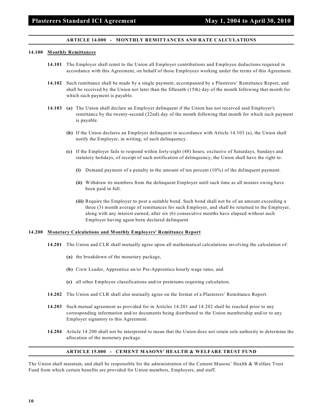# **ARTICLE 14.000 - MONTHLY REMITTANCES AND RATE CALCULATIONS**

#### **14.100 Monthly Remittances**

- **14.101** The Employer shall remit to the Union all Employer contributions and Employee deductions required in accordance with this Agreement, on behalf of those Employees working under the terms of this Agreement.
- **14.102** Such remittance shall be made by a single payment, accompanied by a Plasterers' Remittance Report, and shall be received by the Union not later than the fifteenth (15th) day of the month following that month for which such payment is payable.
- **14.103 (a)** The Union shall declare an Employer delinquent if the Union has not received said Employer's remittance by the twenty-second (22nd) day of the month following that month for which such payment is payable.
	- **(b)** If the Union declares an Employer delinquent in accordance with Article 14.103 (a), the Union shall notify the Employer, in writing, of such delinquency.
	- **(c)** If the Employer fails to respond within forty-eight (48) hours, exclusive of Saturdays, Sundays and statutory holidays, of receipt of such notification of delinquency, the Union shall have the right to:
		- **(i)** Demand payment of a penalty in the amount of ten percent (10%) of the delinquent payment.
		- **(ii)** Withdraw its members from the delinquent Employer until such time as all monies owing have been paid in full.
		- **(iii)** Require the Employer to post a suitable bond. Such bond shall not be of an amount exceeding a three (3) month average of remittances for such Employer, and shall be returned to the Employer, along with any interest earned, after six (6) consecutive months have elapsed without such Employer having again been declared delinquent.

#### **14.200 Monetary Calculations and Monthly Employers' Remittance Report**

- **14.201** The Union and CLR shall mutually agree upon all mathematical calculations involving the calculation of:
	- **(a)** the breakdown of the monetary package,
	- **(b)** Crew Leader, Apprentice an/or Pre-Apprentice hourly wage rates, and
	- **(c)** all other Employee classifications and/or premiums requiring calculation.
- **14.202** The Union and CLR shall also mutually agree on the format of a Plasterers' Remittance Report.
- **14.203** Such mutual agreement as provided for in Articles 14.201 and 14.202 shall be reached prior to any corresponding information and/or documents being distributed to the Union membership and/or to any Employer signatory to this Agreement.
- **14.204** Article 14.200 shall not be interpreted to mean that the Union does not retain sole authority to determine the allocation of the monetary package.

#### **ARTICLE 15.000 - CEMENT MASONS' HEALTH & WELFARE TRUST FUND**

The Union shall maintain, and shall be responsible for the administration of the Cement Masons' Health & Welfare Trust Fund from which certain benefits are provided for Union members, Employers, and staff.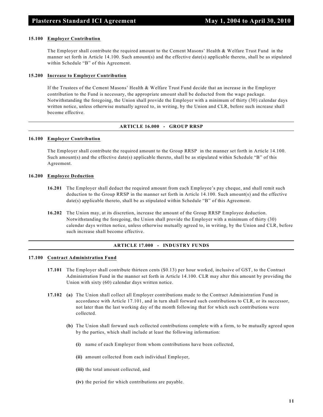#### **15.100 Employer Contribution**

The Employer shall contribute the required amount to the Cement Masons' Health & Welfare Trust Fund in the manner set forth in Article 14.100. Such amount(s) and the effective date(s) applicable thereto, shall be as stipulated within Schedule "B" of this Agreement.

#### **15.200 Increase to Employer Contribution**

If the Trustees of the Cement Masons' Health & Welfare Trust Fund decide that an increase in the Employer contribution to the Fund is necessary, the appropriate amount shall be deducted from the wage package. Notwithstanding the foregoing, the Union shall provide the Employer with a minimum of thirty (30) calendar days written notice, unless otherwise mutually agreed to, in writing, by the Union and CLR, before such increase shall become effective.

#### **ARTICLE 16.000 - GROUP RRSP**

#### **16.100 Employer Contribution**

The Employer shall contribute the required amount to the Group RRSP in the manner set forth in Article 14.100. Such amount(s) and the effective date(s) applicable thereto, shall be as stipulated within Schedule "B" of this Agreement.

#### **16.200 Employee Deduction**

- **16.201** The Employer shall deduct the required amount from each Employee's pay cheque, and shall remit such deduction to the Group RRSP in the manner set forth in Article 14.100. Such amount(s) and the effective date(s) applicable thereto, shall be as stipulated within Schedule "B" of this Agreement.
- **16.202** The Union may, at its discretion, increase the amount of the Group RRSP Employee deduction. Notwithstanding the foregoing, the Union shall provide the Employer with a minimum of thirty (30) calendar days written notice, unless otherwise mutually agreed to, in writing, by the Union and CLR, before such increase shall become effective.

# **ARTICLE 17.000 - INDUSTRY FUNDS**

# **17.100 Contract Administration Fund**

- **17.101** The Employer shall contribute thirteen cents (\$0.13) per hour worked, inclusive of GST, to the Contract Administration Fund in the manner set forth in Article 14.100. CLR may alter this amount by providing the Union with sixty (60) calendar days written notice.
- **17.102 (a)** The Union shall collect all Employer contributions made to the Contract Administration Fund in accordance with Article 17.101, and in turn shall forward such contributions to CLR, or its successor, not later than the last working day of the month following that for which such contributions were collected.
	- **(b)** The Union shall forward such collected contributions complete with a form, to be mutually agreed upon by the parties, which shall include at least the following information:
		- **(i)** name of each Employer from whom contributions have been collected,
		- **(ii)** amount collected from each individual Employer,
		- **(iii)** the total amount collected, and
		- **(iv)** the period for which contributions are payable.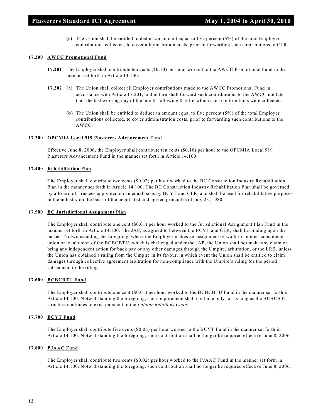**(c)** The Union shall be entitled to deduct an amount equal to five percent (5%) of the total Employer contributions collected, to cover administration costs, prior to forwarding such contributions to CLR.

# **17.200 AWCC Promotional Fund**

- **17.201** The Employer shall contribute ten cents (\$0.10) per hour worked to the AWCC Promotional Fund in the manner set forth in Article 14.100.
- **17.202 (a)** The Union shall collect all Employer contributions made to the AWCC Promotional Fund in accordance with Article 17.201, and in turn shall forward such contributions to the AWCC not later than the last working day of the month following that for which such contributions were collected.
	- **(b)** The Union shall be entitled to deduct an amount equal to five percent (5%) of the total Employer contributions collected, to cover administration costs, prior to forwarding such contributions to the AWCC.

# **17.300 OPCMIA Local 919 Plasterers Advancement Fund**

Effective June 8, 2006, the Employer shall contribute ten cents (\$0.10) per hour to the OPCMIA Local 919 Plasterers Advancement Fund in the manner set forth in Article 14.100.

# **17.400 Rehabilitation Plan**

The Employer shall contribute two cents (\$0.02) per hour worked to the BC Construction Industry Rehabilitation Plan in the manner set forth in Article 14.100. The BC Construction Industry Rehabilitation Plan shall be governed by a Board of Trustees appointed on an equal basis by BCYT and CLR, and shall be used for rehabilitative purposes in the industry on the basis of the negotiated and agreed principles of July 23, 1980.

#### **17.500 BC Jurisdictional Assignment Plan**

The Employer shall contribute one cent (\$0.01) per hour worked to the Jurisdictional Assignment Plan Fund in the manner set forth in Article 14.100. The JAP, as agreed to between the BCYT and CLR, shall be binding upon the parties. Notwithstanding the foregoing, where the Employer makes an assignment of work to another constituent union or local union of the BCBCBTU, which is challenged under the JAP, the Union shall not make any claim or bring any independent action for back pay or any other damages through the Umpire, arbitration, or the LRB, unless the Union has obtained a ruling from the Umpire in its favour, in which event the Union shall be entitled to claim damages through collective agreement arbitration for non-compliance with the Umpire's ruling for the period subsequent to the ruling.

# **17.600 BCBCBTU Fund**

The Employer shall contribute one cent (\$0.01) per hour worked to the BCBCBTU Fund in the manner set forth in Article 14.100. Notwithstanding the foregoing, such requirement shall continue only for as long as the BCBCBTU structure continues to exist pursuant to the *Labour Relations Code*.

# **17.700 BCYT Fund**

The Employer shall contribute five cents (\$0.05) per hour worked to the BCYT Fund in the manner set forth in Article 14.100. Notwithstanding the foregoing, such contribution shall no longer be required effective June 8, 2006.

# **17.800 PJAAC Fund**

The Employer shall contribute two cents (\$0.02) per hour worked to the PJAAC Fund in the manner set forth in Article 14.100. Notwithstanding the foregoing, such contribution shall no longer be required effective June 8, 2006.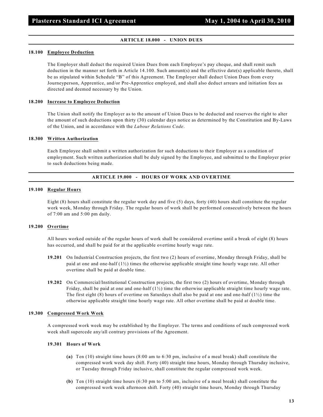# **ARTICLE 18.000 - UNION DUES**

#### **18.100 Employee Deduction**

The Employer shall deduct the required Union Dues from each Employee's pay cheque, and shall remit such deduction in the manner set forth in Article 14.100. Such amount(s) and the effective date(s) applicable thereto, shall be as stipulated within Schedule "B" of this Agreement. The Employer shall deduct Union Dues from every Journeyperson, Apprentice, and/or Pre-Apprentice employed, and shall also deduct arrears and initiation fees as directed and deemed necessary by the Union.

# **18.200 Increase to Employee Deduction**

The Union shall notify the Employer as to the amount of Union Dues to be deducted and reserves the right to alter the amount of such deductions upon thirty (30) calendar days notice as determined by the Constitution and By-Laws of the Union, and in accordance with the *Labour Relations Code*.

# **18.300 Written Authorization**

Each Employee shall submit a written authorization for such deductions to their Employer as a condition of employment. Such written authorization shall be duly signed by the Employee, and submitted to the Employer prior to such deductions being made.

# **ARTICLE 19.000 - HOURS OF WORK AND OVERTIME**

# **19.100 Regular Hours**

Eight (8) hours shall constitute the regular work day and five (5) days, forty (40) hours shall constitute the regular work week, Monday through Friday. The regular hours of work shall be performed consecutively between the hours of 7:00 am and 5:00 pm daily.

# **19.200 Overtime**

All hours worked outside of the regular hours of work shall be considered overtime until a break of eight (8) hours has occurred, and shall be paid for at the applicable overtime hourly wage rate.

- **19.201** On Industrial Construction projects, the first two (2) hours of overtime, Monday through Friday, shall be paid at one and one-half  $(1\frac{1}{2})$  times the otherwise applicable straight time hourly wage rate. All other overtime shall be paid at double time.
- **19.202** On Commercial/Institutional Construction projects, the first two (2) hours of overtime, Monday through Friday, shall be paid at one and one-half  $(1/2)$  time the otherwise applicable straight time hourly wage rate. The first eight (8) hours of overtime on Saturdays shall also be paid at one and one-half  $(1/2)$  time the otherwise applicable straight time hourly wage rate. All other overtime shall be paid at double time.

#### **19.300 Compressed Work Week**

A compressed work week may be established by the Employer. The terms and conditions of such compressed work week shall supercede any/all contrary provisions of the Agreement.

#### **19.301 Hours of Work**

- **(a)** Ten (10) straight time hours (8:00 am to 6:30 pm, inclusive of a meal break) shall constitute the compressed work week day shift. Forty (40) straight time hours, Monday through Thursday inclusive, or Tuesday through Friday inclusive, shall constitute the regular compressed work week.
- **(b)** Ten (10) straight time hours (6:30 pm to 5:00 am, inclusive of a meal break) shall constitute the compressed work week afternoon shift. Forty (40) straight time hours, Monday through Thursday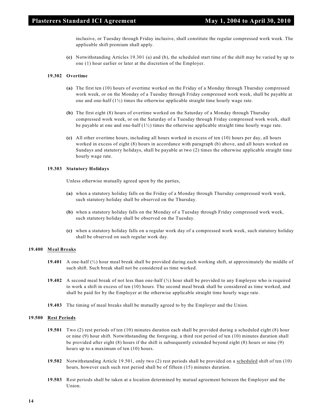inclusive, or Tuesday through Friday inclusive, shall constitute the regular compressed work week. The applicable shift premium shall apply.

**(c)** Notwithstanding Articles 19.301 (a) and (b), the scheduled start time of the shift may be varied by up to one (1) hour earlier or later at the discretion of the Employer.

# **19.302 Overtime**

- **(a)** The first ten (10) hours of overtime worked on the Friday of a Monday through Thursday compressed work week, or on the Monday of a Tuesday through Friday compressed work week, shall be payable at one and one-half  $(1/2)$  times the otherwise applicable straight time hourly wage rate.
- **(b)** The first eight (8) hours of overtime worked on the Saturday of a Monday through Thursday compressed work week, or on the Saturday of a Tuesday through Friday compressed work week, shall be payable at one and one-half  $(1/2)$  times the otherwise applicable straight time hourly wage rate.
- **(c)** All other overtime hours, including all hours worked in excess of ten (10) hours per day, all hours worked in excess of eight (8) hours in accordance with paragraph (b) above, and all hours worked on Sundays and statutory holidays, shall be payable at two (2) times the otherwise applicable straight time hourly wage rate.

# **19.303 Statutory Holidays**

Unless otherwise mutually agreed upon by the parties,

- **(a)** when a statutory holiday falls on the Friday of a Monday through Thursday compressed work week, such statutory holiday shall be observed on the Thursday.
- **(b)** when a statutory holiday falls on the Monday of a Tuesday through Friday compressed work week, such statutory holiday shall be observed on the Tuesday.
- **(c)** when a statutory holiday falls on a regular work day of a compressed work week, such statutory holiday shall be observed on such regular work day.

#### **19.400 Meal Breaks**

- **19.401** A one-half (½) hour meal break shall be provided during each working shift, at approximately the middle of such shift. Such break shall not be considered as time worked.
- **19.402** A second meal break of not less than one-half (½) hour shall be provided to any Employee who is required to work a shift in excess of ten (10) hours. The second meal break shall be considered as time worked, and shall be paid for by the Employer at the otherwise applicable straight time hourly wage rate.
- **19.403** The timing of meal breaks shall be mutually agreed to by the Employer and the Union.

#### **19.500 Rest Periods**

- **19.501** Two (2) rest periods of ten (10) minutes duration each shall be provided during a scheduled eight (8) hour or nine (9) hour shift. Notwithstanding the foregoing, a third rest period of ten (10) minutes duration shall be provided after eight (8) hours if the shift is subsequently extended beyond eight (8) hours or nine (9) hours up to a maximum of ten (10) hours.
- **19.502** Notwithstanding Article 19.501, only two (2) rest periods shall be provided on a scheduled shift of ten (10) hours, however each such rest period shall be of fifteen (15) minutes duration.
- **19.503** Rest periods shall be taken at a location determined by mutual agreement between the Employer and the Union.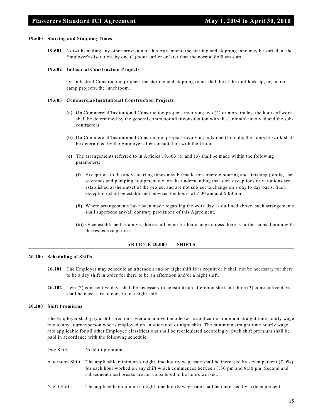#### **19.600 Starting and Stopping Times**

**19.601** Notwithstanding any other provision of this Agreement, the starting and stopping time may be varied, at the Employer's discretion, by one (1) hour earlier or later than the normal 8:00 am start.

#### **19.602 Industrial Construction Projects**

On Industrial Construction projects the starting and stopping times shall be at the tool lock-up, or, on non camp projects, the lunchroom.

#### **19.603 Commercial/Institutional Construction Projects**

- **(a)** On Commercial/Institutional Construction projects involving two (2) or more trades, the hours of work shall be determined by the general contractor after consultation with the Union(s) involved and the subcontractors.
- **(b)** On Commercial/Institutional Construction projects involving only one (1) trade, the hours of work shall be determined by the Employer after consultation with the Union.
- **(c)** The arrangements referred to in Articles 19.603 (a) and (b) shall be made within the following parameters:
	- **(i)** Exceptions to the above starting times may be made for concrete pouring and finishing jointly, use of cranes and pumping equipment etc. on the understanding that such exceptions or variations are established at the outset of the project and are not subject to change on a day to day basis. Such exceptions shall be established between the hours of 7:00 am and 5:00 pm.
	- **(ii)** Where arrangements have been made regarding the work day as outlined above, such arrangements shall supersede any/all contrary provisions of this Agreement.
	- **(iii)** Once established as above, there shall be no further change unless there is further consultation with the respective parties.

# **ARTICLE 20.000 - SHIFTS**

#### **20.100 Scheduling of Shifts**

- **20.101** The Employer may schedule an afternoon and/or night shift if/as required. It shall not be necessary for there to be a day shift in order for there to be an afternoon and/or a night shift.
- **20.102** Two (2) consecutive days shall be necessary to constitute an afternoon shift and three (3) consecutive days shall be necessary to constitute a night shift.

#### **20.200 Shift Premiums**

The Employer shall pay a shift premium over and above the otherwise applicable minimum straight time hourly wage rate to any Journeyperson who is employed on an afternoon or night shift. The minimum straight time hourly wage rate applicable for all other Employee classifications shall be recalculated accordingly. Such shift premium shall be paid in accordance with the following schedule.

Day Shift: No shift premium.

- Afternoon Shift: The applicable minimum straight time hourly wage rate shall be increased by seven percent (7.0%) for each hour worked on any shift which commences between 3:30 pm and 8:30 pm. Second and subsequent meal breaks are not considered to be hours worked.
- Night Shift: The applicable minimum straight time hourly wage rate shall be increased by sixteen percent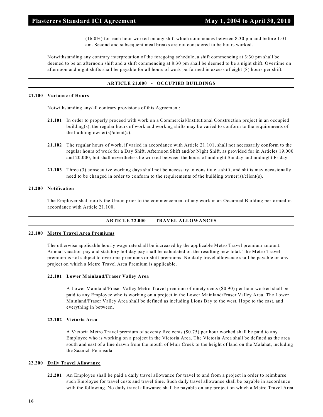(16.0%) for each hour worked on any shift which commences between 8:30 pm and before 1:01 am. Second and subsequent meal breaks are not considered to be hours worked.

Notwithstanding any contrary interpretation of the foregoing schedule, a shift commencing at 3:30 pm shall be deemed to be an afternoon shift and a shift commencing at 8:30 pm shall be deemed to be a night shift. Overtime on afternoon and night shifts shall be payable for all hours of work performed in excess of eight (8) hours per shift.

# **ARTICLE 21.000 - OCCUPIED BUILDINGS**

# **21.100 Variance of Hours**

Notwithstanding any/all contrary provisions of this Agreement:

- **21.101** In order to properly proceed with work on a Commercial/Institutional Construction project in an occupied building(s), the regular hours of work and working shifts may be varied to conform to the requirements of the building owner(s)/client(s).
- **21.102** The regular hours of work, if varied in accordance with Article 21.101, shall not necessarily conform to the regular hours of work for a Day Shift, Afternoon Shift and/or Night Shift, as provided for in Articles 19.000 and 20.000, but shall nevertheless be worked between the hours of midnight Sunday and midnight Friday.
- **21.103** Three (3) consecutive working days shall not be necessary to constitute a shift, and shifts may occasionally need to be changed in order to conform to the requirements of the building owner(s)/client(s).

#### **21.200 Notification**

The Employer shall notify the Union prior to the commencement of any work in an Occupied Building performed in accordance with Article 21.100.

#### **ARTICLE 22.000 - TRAVEL ALLOWANCES**

#### **22.100 Metro Travel Area Premiums**

The otherwise applicable hourly wage rate shall be increased by the applicable Metro Travel premium amount. Annual vacation pay and statutory holiday pay shall be calculated on the resulting new total. The Metro Travel premium is not subject to overtime premiums or shift premiums. No daily travel allowance shall be payable on any project on which a Metro Travel Area Premium is applicable.

#### **22.101 Lower Mainland/Fraser Valley Area**

A Lower Mainland/Fraser Valley Metro Travel premium of ninety cents (\$0.90) per hour worked shall be paid to any Employee who is working on a project in the Lower Mainland/Fraser Valley Area. The Lower Mainland/Fraser Valley Area shall be defined as including Lions Bay to the west, Hope to the east, and everything in between.

#### **22.102 Victoria Area**

A Victoria Metro Travel premium of seventy five cents (\$0.75) per hour worked shall be paid to any Employee who is working on a project in the Victoria Area. The Victoria Area shall be defined as the area south and east of a line drawn from the mouth of Muir Creek to the height of land on the Malahat, including the Saanich Peninsula.

#### **22.200 Daily Travel Allowance**

**22.201** An Employee shall be paid a daily travel allowance for travel to and from a project in order to reimburse such Employee for travel costs and travel time. Such daily travel allowance shall be payable in accordance with the following. No daily travel allowance shall be payable on any project on which a Metro Travel Area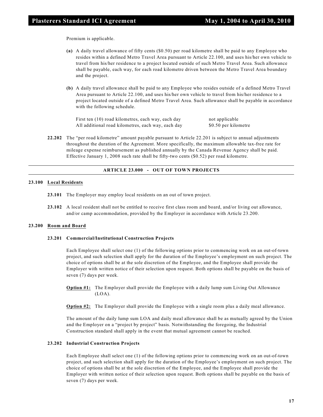Premium is applicable.

- **(a)** A daily travel allowance of fifty cents (\$0.50) per road kilometre shall be paid to any Employee who resides within a defined Metro Travel Area pursuant to Article 22.100, and uses his/her own vehicle to travel from his/her residence to a project located outside of such Metro Travel Area. Such allowance shall be payable, each way, for each road kilometre driven between the Metro Travel Area boundary and the project.
- **(b)** A daily travel allowance shall be paid to any Employee who resides outside of a defined Metro Travel Area pursuant to Article 22.100, and uses his/her own vehicle to travel from his/her residence to a project located outside of a defined Metro Travel Area. Such allowance shall be payable in accordance with the following schedule.

First ten (10) road kilometres, each way, each day not applicable All additional road kilometres, each way, each day \$0.50 per kilometre

**22.202** The "per road kilometre" amount payable pursuant to Article 22.201 is subject to annual adjustments throughout the duration of the Agreement. More specifically, the maximum allowable tax-free rate for mileage expense reimbursement as published annually by the Canada Revenue Agency shall be paid. Effective January 1, 2008 such rate shall be fifty-two cents (\$0.52) per road kilometre.

#### **ARTICLE 23.000 - OUT OF TOWN PROJECTS**

# **23.100 Local Residents**

- **23.101** The Employer may employ local residents on an out of town project.
- **23.102** A local resident shall not be entitled to receive first class room and board, and/or living out allowance, and/or camp accommodation, provided by the Employer in accordance with Article 23.200.

#### **23.200 Room and Board**

# **23.201 Commercial/Institutional Construction Projects**

Each Employee shall select one (1) of the following options prior to commencing work on an out-of-town project, and such selection shall apply for the duration of the Employee's employment on such project. The choice of options shall be at the sole discretion of the Employee, and the Employee shall provide the Employer with written notice of their selection upon request. Both options shall be payable on the basis of seven (7) days per week.

**Option #1:** The Employer shall provide the Employee with a daily lump sum Living Out Allowance  $(LOA)$ .

**Option #2:** The Employer shall provide the Employee with a single room plus a daily meal allowance.

The amount of the daily lump sum LOA and daily meal allowance shall be as mutually agreed by the Union and the Employer on a "project by project" basis. Notwithstanding the foregoing, the Industrial Construction standard shall apply in the event that mutual agreement cannot be reached.

#### **23.202 Industrial Construction Projects**

Each Employee shall select one (1) of the following options prior to commencing work on an out-of-town project, and such selection shall apply for the duration of the Employee's employment on such project. The choice of options shall be at the sole discretion of the Employee, and the Employee shall provide the Employer with written notice of their selection upon request. Both options shall be payable on the basis of seven (7) days per week.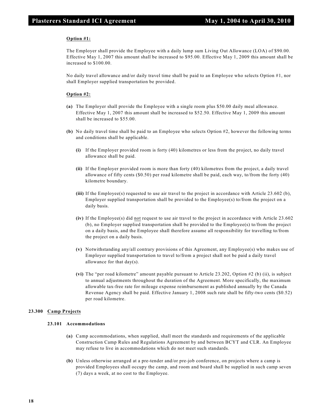# **Option #1:**

The Employer shall provide the Employee with a daily lump sum Living Out Allowance (LOA) of \$90.00. Effective May 1, 2007 this amount shall be increased to \$95.00. Effective May 1, 2009 this amount shall be increased to \$100.00.

No daily travel allowance and/or daily travel time shall be paid to an Employee who selects Option #1, nor shall Employer supplied transportation be provided.

# **Option #2:**

- **(a)** The Employer shall provide the Employee with a single room plus \$50.00 daily meal allowance. Effective May 1, 2007 this amount shall be increased to \$52.50. Effective May 1, 2009 this amount shall be increased to \$55.00.
- **(b)** No daily travel time shall be paid to an Employee who selects Option #2, however the following terms and conditions shall be applicable.
	- **(i)** If the Employer provided room is forty (40) kilometres or less from the project, no daily travel allowance shall be paid.
	- **(ii)** If the Employer provided room is more than forty (40) kilometres from the project, a daily travel allowance of fifty cents (\$0.50) per road kilometre shall be paid, each way, to/from the forty (40) kilometre boundary.
	- **(iii)** If the Employee(s) requested to use air travel to the project in accordance with Article 23.602 (b), Employer supplied transportation shall be provided to the Employee(s) to/from the project on a daily basis.
	- **(iv)** If the Employee(s) did not request to use air travel to the project in accordance with Article 23.602 (b), no Employer supplied transportation shall be provided to the Employee(s) to/from the project on a daily basis, and the Employee shall therefore assume all responsibility for travelling to/from the project on a daily basis.
	- **(v)** Notwithstanding any/all contrary provisions of this Agreement, any Employee(s) who makes use of Employer supplied transportation to travel to/from a project shall not be paid a daily travel allowance for that day(s).
	- **(vi)** The "per road kilometre" amount payable pursuant to Article 23.202, Option #2 (b) (ii), is subject to annual adjustments throughout the duration of the Agreement. More specifically, the maximum allowable tax-free rate for mileage expense reimbursement as published annually by the Canada Revenue Agency shall be paid. Effective January 1, 2008 such rate shall be fifty-two cents (\$0.52) per road kilometre.

# **23.300 Camp Projects**

# **23.101 Accommodations**

- **(a)** Camp accommodations, when supplied, shall meet the standards and requirements of the applicable Construction Camp Rules and Regulations Agreement by and between BCYT and CLR. An Employee may refuse to live in accommodations which do not meet such standards.
- **(b)** Unless otherwise arranged at a pre-tender and/or pre-job conference, on projects where a camp is provided Employees shall occupy the camp, and room and board shall be supplied in such camp seven (7) days a week, at no cost to the Employee.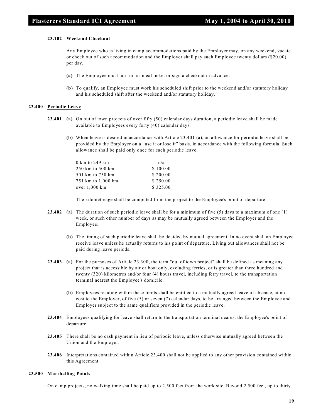#### **23.102 Weekend Checkout**

Any Employee who is living in camp accommodations paid by the Employer may, on any weekend, vacate or check out of such accommodation and the Employer shall pay such Employee twenty dollars (\$20.00) per day.

- **(a)** The Employee must turn in his meal ticket or sign a checkout in advance.
- **(b)** To qualify, an Employee must work his scheduled shift prior to the weekend and/or statutory holiday and his scheduled shift after the weekend and/or statutory holiday.

#### **23.400 Periodic Leave**

- **23.401 (a)** On out of town projects of over fifty (50) calendar days duration, a periodic leave shall be made available to Employees every forty (40) calendar days.
	- **(b)** When leave is desired in accordance with Article 23.401 (a), an allowance for periodic leave shall be provided by the Employer on a "use it or lose it" basis, in accordance with the following formula. Such allowance shall be paid only once for each periodic leave.

| 0 km to 249 km     | n/a      |
|--------------------|----------|
| 250 km to 500 km   | \$100.00 |
| 501 km to 750 km   | \$200.00 |
| 751 km to 1,000 km | \$250.00 |
| over 1,000 km      | \$325.00 |

The kilometreage shall be computed from the project to the Employee's point of departure.

- **23.402 (a)** The duration of such periodic leave shall be for a minimum of five (5) days to a maximum of one (1) week, or such other number of days as may be mutually agreed between the Employer and the Employee.
	- **(b)** The timing of such periodic leave shall be decided by mutual agreement. In no event shall an Employee receive leave unless he actually returns to his point of departure. Living out allowances shall not be paid during leave periods.
- **23.403 (a)** For the purposes of Article 23.300, the term "out of town project" shall be defined as meaning any project that is accessible by air or boat only, excluding ferries, or is greater than three hundred and twenty (320) kilometres and/or four (4) hours travel, including ferry travel, to the transportation terminal nearest the Employee's domicile.
	- **(b)** Employees residing within these limits shall be entitled to a mutually agreed leave of absence, at no cost to the Employer, of five (5) or seven (7) calendar days, to be arranged between the Employee and Employer subject to the same qualifiers provided in the periodic leave.
- **23.404** Employees qualifying for leave shall return to the transportation terminal nearest the Employee's point of departure.
- **23.405** There shall be no cash payment in lieu of periodic leave, unless otherwise mutually agreed between the Union and the Employer.
- **23.406** Interpretations contained within Article 23.400 shall not be applied to any other provision contained within this Agreement.

# **23.500 Marshalling Points**

On camp projects, no walking time shall be paid up to 2,500 feet from the work site. Beyond 2,500 feet, up to thirty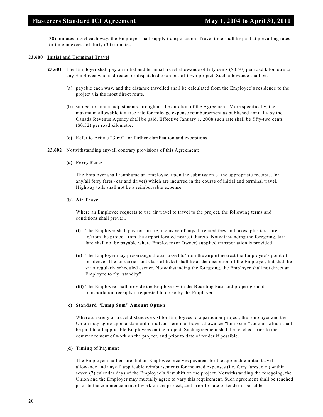(30) minutes travel each way, the Employer shall supply transportation. Travel time shall be paid at prevailing rates for time in excess of thirty (30) minutes.

# **23.600 Initial and Terminal Travel**

- **23.601** The Employer shall pay an initial and terminal travel allowance of fifty cents (\$0.50) per road kilometre to any Employee who is directed or dispatched to an out-of-town project. Such allowance shall be:
	- **(a)** payable each way, and the distance travelled shall be calculated from the Employee's residence to the project via the most direct route.
	- **(b)** subject to annual adjustments throughout the duration of the Agreement. More specifically, the maximum allowable tax-free rate for mileage expense reimbursement as published annually by the Canada Revenue Agency shall be paid. Effective January 1, 2008 such rate shall be fifty-two cents (\$0.52) per road kilometre.
	- **(c)** Refer to Article 23.602 for further clarification and exceptions.
- **23.602** Notwithstanding any/all contrary provisions of this Agreement:

#### **(a) Ferry Fares**

The Employer shall reimburse an Employee, upon the submission of the appropriate receipts, for any/all ferry fares (car and driver) which are incurred in the course of initial and terminal travel. Highway tolls shall not be a reimbursable expense.

#### **(b) Air Travel**

Where an Employee requests to use air travel to travel to the project, the following terms and conditions shall prevail.

- **(i)** The Employer shall pay for airfare, inclusive of any/all related fees and taxes, plus taxi fare to/from the project from the airport located nearest thereto. Notwithstanding the foregoing, taxi fare shall not be payable where Employer (or Owner) supplied transportation is provided.
- **(ii)** The Employer may pre-arrange the air travel to/from the airport nearest the Employee's point of residence. The air carrier and class of ticket shall be at the discretion of the Employer, but shall be via a regularly scheduled carrier. Notwithstanding the foregoing, the Employer shall not direct an Employee to fly "standby".
- **(iii)** The Employee shall provide the Employer with the Boarding Pass and proper ground transportation receipts if requested to do so by the Employer.

#### **(c) Standard "Lump Sum" Amount Option**

Where a variety of travel distances exist for Employees to a particular project, the Employer and the Union may agree upon a standard initial and terminal travel allowance "lump sum" amount which shall be paid to all applicable Employees on the project. Such agreement shall be reached prior to the commencement of work on the project, and prior to date of tender if possible.

#### **(d) Timing of Payment**

The Employer shall ensure that an Employee receives payment for the applicable initial travel allowance and any/all applicable reimbursements for incurred expenses (i.e. ferry fares, etc.) within seven (7) calendar days of the Employee's first shift on the project. Notwithstanding the foregoing, the Union and the Employer may mutually agree to vary this requirement. Such agreement shall be reached prior to the commencement of work on the project, and prior to date of tender if possible.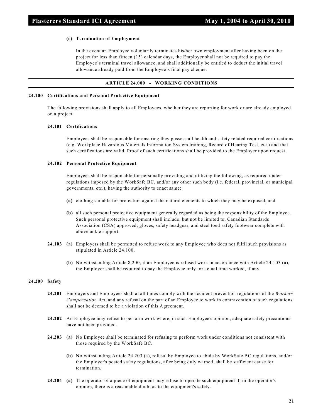#### **(e) Termination of Employment**

In the event an Employee voluntarily terminates his/her own employment after having been on the project for less than fifteen (15) calendar days, the Employer shall not be required to pay the Employee's terminal travel allowance, and shall additionally be entitled to deduct the initial travel allowance already paid from the Employee's final pay cheque.

# **ARTICLE 24.000 - WORKING CONDITIONS**

# **24.100 Certifications and Personal Protective Equipment**

The following provisions shall apply to all Employees, whether they are reporting for work or are already employed on a project.

#### **24.101 Certifications**

Employees shall be responsible for ensuring they possess all health and safety related required certifications (e.g. Workplace Hazardous Materials Information System training, Record of Hearing Test, etc.) and that such certifications are valid. Proof of such certifications shall be provided to the Employer upon request.

#### **24.102 Personal Protective Equipment**

Employees shall be responsible for personally providing and utilizing the following, as required under regulations imposed by the WorkSafe BC, and/or any other such body (i.e. federal, provincial, or municipal governments, etc.), having the authority to enact same:

- **(a)** clothing suitable for protection against the natural elements to which they may be exposed, and
- **(b)** all such personal protective equipment generally regarded as being the responsibility of the Employee. Such personal protective equipment shall include, but not be limited to, Canadian Standards Association (CSA) approved; gloves, safety headgear, and steel toed safety footwear complete with above ankle support.
- **24.103 (a)** Employers shall be permitted to refuse work to any Employee who does not fulfil such provisions as stipulated in Article 24.100.
	- **(b)** Notwithstanding Article 8.200, if an Employee is refused work in accordance with Article 24.103 (a), the Employer shall be required to pay the Employee only for actual time worked, if any.

# **24.200 Safety**

- **24.201** Employers and Employees shall at all times comply with the accident prevention regulations of the *Workers Compensation Act*, and any refusal on the part of an Employee to work in contravention of such regulations shall not be deemed to be a violation of this Agreement.
- **24.202** An Employee may refuse to perform work where, in such Employee's opinion, adequate safety precautions have not been provided.
- **24.203 (a)** No Employee shall be terminated for refusing to perform work under conditions not consistent with those required by the WorkSafe BC.
	- **(b)** Notwithstanding Article 24.203 (a), refusal by Employee to abide by WorkSafe BC regulations, and/or the Employer's posted safety regulations, after being duly warned, shall be sufficient cause for termination.
- **24.204 (a)** The operator of a piece of equipment may refuse to operate such equipment if, in the operator's opinion, there is a reasonable doubt as to the equipment's safety.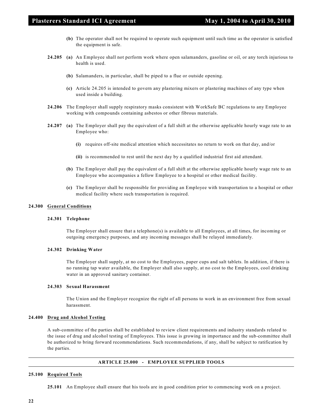- **(b)** The operator shall not be required to operate such equipment until such time as the operator is satisfied the equipment is safe.
- **24.205 (a)** An Employee shall not perform work where open salamanders, gasoline or oil, or any torch injurious to health is used.
	- **(b)** Salamanders, in particular, shall be piped to a flue or outside opening.
	- **(c)** Article 24.205 is intended to govern any plastering mixers or plastering machines of any type when used inside a building.
- **24.206** The Employer shall supply respiratory masks consistent with WorkSafe BC regulations to any Employee working with compounds containing asbestos or other fibrous materials.
- **24.207 (a)** The Employer shall pay the equivalent of a full shift at the otherwise applicable hourly wage rate to an Employee who:
	- **(i)** requires off-site medical attention which necessitates no return to work on that day, and/or
	- **(ii)** is recommended to rest until the next day by a qualified industrial first aid attendant.
	- **(b)** The Employer shall pay the equivalent of a full shift at the otherwise applicable hourly wage rate to an Employee who accompanies a fellow Employee to a hospital or other medical facility.
	- **(c)** The Employer shall be responsible for providing an Employee with transportation to a hospital or other medical facility where such transportation is required.

#### **24.300 General Conditions**

# **24.301 Telephone**

The Employer shall ensure that a telephone(s) is available to all Employees, at all times, for incoming or outgoing emergency purposes, and any incoming messages shall be relayed immediately.

#### **24.302 Drinking Water**

The Employer shall supply, at no cost to the Employees, paper cups and salt tablets. In addition, if there is no running tap water available, the Employer shall also supply, at no cost to the Employees, cool drinking water in an approved sanitary container.

#### **24.303 Sexual Harassment**

The Union and the Employer recognize the right of all persons to work in an environment free from sexual harassment.

#### **24.400 Drug and Alcohol Testing**

A sub-committee of the parties shall be established to review client requirements and industry standards related to the issue of drug and alcohol testing of Employees. This issue is growing in importance and the sub-committee shall be authorized to bring forward recommendations. Such recommendations, if any, shall be subject to ratification by the parties.

# **ARTICLE 25.000 - EMPLOYEE SUPPLIED TOOLS**

#### **25.100 Required Tools**

**25.101** An Employee shall ensure that his tools are in good condition prior to commencing work on a project.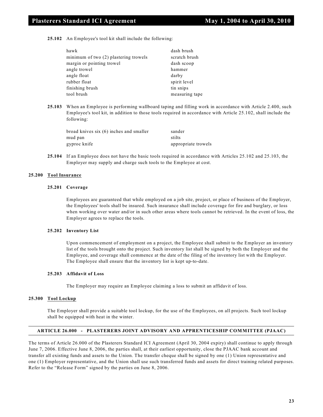**25.102** An Employee's tool kit shall include the following:

| hawk                                  | dash brush     |
|---------------------------------------|----------------|
| minimum of two (2) plastering trowels | scratch brush  |
| margin or pointing trowel             | dash scoop     |
| angle trowel                          | hammer         |
| angle float                           | darby          |
| rubber float                          | spirit level   |
| finishing brush                       | tin snips      |
| tool brush                            | measuring tape |

**25.103** When an Employee is performing wallboard taping and filling work in accordance with Article 2.400, such Employee's tool kit, in addition to those tools required in accordance with Article 25.102, shall include the following:

| broad knives six (6) inches and smaller | sander              |
|-----------------------------------------|---------------------|
| mud pan                                 | stilts              |
| gyproc knife                            | appropriate trowels |

**25.104** If an Employee does not have the basic tools required in accordance with Articles 25.102 and 25.103, the Employer may supply and charge such tools to the Employee at cost.

#### **25.200 Tool Insurance**

#### **25.201 Coverage**

Employees are guaranteed that while employed on a job site, project, or place of business of the Employer, the Employees' tools shall be insured. Such insurance shall include coverage for fire and burglary, or loss when working over water and/or in such other areas where tools cannot be retrieved. In the event of loss, the Employer agrees to replace the tools.

#### **25.202 Inventory List**

Upon commencement of employment on a project, the Employee shall submit to the Employer an inventory list of the tools brought onto the project. Such inventory list shall be signed by both the Employer and the Employee, and coverage shall commence at the date of the filing of the inventory list with the Employer. The Employee shall ensure that the inventory list is kept up-to-date.

#### **25.203 Affidavit of Loss**

The Employer may require an Employee claiming a loss to submit an affidavit of loss.

#### **25.300 Tool Lockup**

The Employer shall provide a suitable tool lockup, for the use of the Employees, on all projects. Such tool lockup shall be equipped with heat in the winter.

# **ARTICLE 26.000 - PLASTERERS JOINT ADVISORY AND APPRENTICESHIP COMMITTEE (PJAAC)**

The terms of Article 26.000 of the Plasterers Standard ICI Agreement (April 30, 2004 expiry) shall continue to apply through June 7, 2006. Effective June 8, 2006, the parties shall, at their earliest opportunity, close the PJAAC bank account and transfer all existing funds and assets to the Union. The transfer cheque shall be signed by one (1) Union representative and one (1) Employer representative, and the Union shall use such transferred funds and assets for direct training related purposes. Refer to the "Release Form" signed by the parties on June 8, 2006.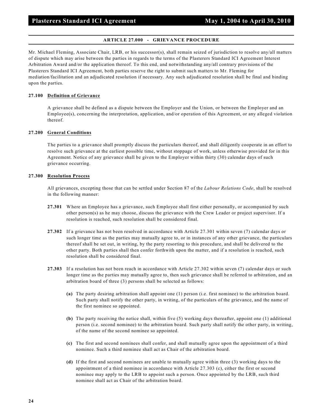# **ARTICLE 27.000 - GRIEVANCE PROCEDURE**

Mr. Michael Fleming, Associate Chair, LRB, or his successor(s), shall remain seized of jurisdiction to resolve any/all matters of dispute which may arise between the parties in regards to the terms of the Plasterers Standard ICI Agreement Interest Arbitration Award and/or the application thereof. To this end, and notwithstanding any/all contrary provisions of the Plasterers Standard ICI Agreement, both parties reserve the right to submit such matters to Mr. Fleming for mediation/facilitation and an adjudicated resolution if necessary. Any such adjudicated resolution shall be final and binding upon the parties.

# **27.100 Definition of Grievance**

A grievance shall be defined as a dispute between the Employer and the Union, or between the Employer and an Employee(s), concerning the interpretation, application, and/or operation of this Agreement, or any alleged violation thereof.

# **27.200 General Conditions**

The parties to a grievance shall promptly discuss the particulars thereof, and shall diligently cooperate in an effort to resolve such grievance at the earliest possible time, without stoppage of work, unless otherwise provided for in this Agreement. Notice of any grievance shall be given to the Employer within thirty (30) calendar days of such grievance occurring.

# **27.300 Resolution Process**

All grievances, excepting those that can be settled under Section 87 of the *Labour Relations Code*, shall be resolved in the following manner:

- **27.301** Where an Employee has a grievance, such Employee shall first either personally, or accompanied by such other person(s) as he may choose, discuss the grievance with the Crew Leader or project supervisor. If a resolution is reached, such resolution shall be considered final.
- **27.302** If a grievance has not been resolved in accordance with Article 27.301 within seven (7) calendar days or such longer time as the parties may mutually agree to, or in instances of any other grievance, the particulars thereof shall be set out, in writing, by the party resorting to this procedure, and shall be delivered to the other party. Both parties shall then confer forthwith upon the matter, and if a resolution is reached, such resolution shall be considered final.
- **27.303** If a resolution has not been reach in accordance with Article 27.302 within seven (7) calendar days or such longer time as the parties may mutually agree to, then such grievance shall be referred to arbitration, and an arbitration board of three (3) persons shall be selected as follows:
	- **(a)** The party desiring arbitration shall appoint one (1) person (i.e. first nominee) to the arbitration board. Such party shall notify the other party, in writing, of the particulars of the grievance, and the name of the first nominee so appointed.
	- **(b)** The party receiving the notice shall, within five (5) working days thereafter, appoint one (1) additional person (i.e. second nominee) to the arbitration board. Such party shall notify the other party, in writing, of the name of the second nominee so appointed.
	- **(c)** The first and second nominees shall confer, and shall mutually agree upon the appointment of a third nominee. Such a third nominee shall act as Chair of the arbitration board.
	- **(d)** If the first and second nominees are unable to mutually agree within three (3) working days to the appointment of a third nominee in accordance with Article 27.303 (c), either the first or second nominee may apply to the LRB to appoint such a person. Once appointed by the LRB, such third nominee shall act as Chair of the arbitration board.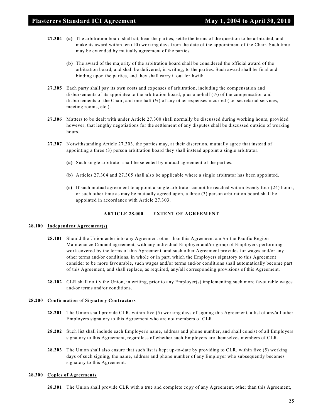- **27.304 (a)** The arbitration board shall sit, hear the parties, settle the terms of the question to be arbitrated, and make its award within ten (10) working days from the date of the appointment of the Chair. Such time may be extended by mutually agreement of the parties.
	- **(b)** The award of the majority of the arbitration board shall be considered the official award of the arbitration board, and shall be delivered, in writing, to the parties. Such award shall be final and binding upon the parties, and they shall carry it out forthwith.
- **27.305** Each party shall pay its own costs and expenses of arbitration, including the compensation and disbursements of its appointee to the arbitration board, plus one-half  $\binom{1}{2}$  of the compensation and disbursements of the Chair, and one-half (½) of any other expenses incurred (i.e. secretarial services, meeting rooms, etc.).
- **27.306** Matters to be dealt with under Article 27.300 shall normally be discussed during working hours, provided however, that lengthy negotiations for the settlement of any disputes shall be discussed outside of working hours.
- **27.307** Notwithstanding Article 27.303, the parties may, at their discretion, mutually agree that instead of appointing a three (3) person arbitration board they shall instead appoint a single arbitrator.
	- **(a)** Such single arbitrator shall be selected by mutual agreement of the parties.
	- **(b)** Articles 27.304 and 27.305 shall also be applicable where a single arbitrator has been appointed.
	- **(c)** If such mutual agreement to appoint a single arbitrator cannot be reached within twenty four (24) hours, or such other time as may be mutually agreed upon, a three (3) person arbitration board shall be appointed in accordance with Article 27.303.

# **ARTICLE 28.000 - EXTENT OF AGREEMENT**

#### **28.100 Independent Agreement(s)**

- **28.101** Should the Union enter into any Agreement other than this Agreement and/or the Pacific Region Maintenance Council agreement, with any individual Employer and/or group of Employers performing work covered by the terms of this Agreement, and such other Agreement provides for wages and/or any other terms and/or conditions, in whole or in part, which the Employers signatory to this Agreement consider to be more favourable, such wages and/or terms and/or conditions shall automatically become part of this Agreement, and shall replace, as required, any/all corresponding provisions of this Agreement.
- **28.102** CLR shall notify the Union, in writing, prior to any Employer(s) implementing such more favourable wages and/or terms and/or conditions.

#### **28.200 Confirmation of Signatory Contractors**

- **28.201** The Union shall provide CLR, within five (5) working days of signing this Agreement, a list of any/all other Employers signatory to this Agreement who are not members of CLR.
- **28.202** Such list shall include each Employer's name, address and phone number, and shall consist of all Employers signatory to this Agreement, regardless of whether such Employers are themselves members of CLR.
- **28.203** The Union shall also ensure that such list is kept up-to-date by providing to CLR, within five (5) working days of such signing, the name, address and phone number of any Employer who subsequently becomes signatory to this Agreement.

#### **28.300 Copies of Agreements**

**28.301** The Union shall provide CLR with a true and complete copy of any Agreement, other than this Agreement,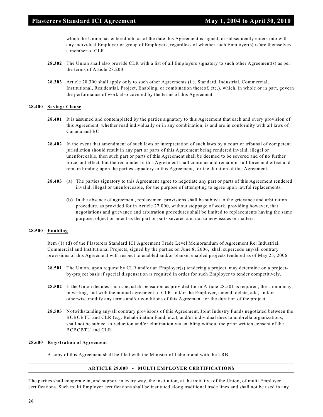which the Union has entered into as of the date this Agreement is signed, or subsequently enters into with any individual Employer or group of Employers, regardless of whether such Employer(s) is/are themselves a member of CLR.

- **28.302** The Union shall also provide CLR with a list of all Employers signatory to such other Agreement(s) as per the terms of Article 28.200.
- **28.303** Article 28.300 shall apply only to such other Agreements (i.e. Standard, Industrial, Commercial, Institutional, Residential, Project, Enabling, or combination thereof, etc.), which, in whole or in part, govern the performance of work also covered by the terms of this Agreement.

# **28.400 Savings Clause**

- **28.401** It is assumed and contemplated by the parties signatory to this Agreement that each and every provision of this Agreement, whether read individually or in any combination, is and are in conformity with all laws of Canada and BC.
- **28.402** In the event that amendment of such laws or interpretation of such laws by a court or tribunal of competent jurisdiction should result in any part or parts of this Agreement being rendered invalid, illegal or unenforceable, then such part or parts of this Agreement shall be deemed to be severed and of no further force and effect, but the remainder of this Agreement shall continue and remain in full force and effect and remain binding upon the parties signatory to this Agreement, for the duration of this Agreement.
- **28.403 (a)** The parties signatory to this Agreement agree to negotiate any part or parts of this Agreement rendered invalid, illegal or unenforceable, for the purpose of attempting to agree upon lawful replacements.
	- **(b)** In the absence of agreement, replacement provisions shall be subject to the grievance and arbitration procedure, as provided for in Article 27.000, without stoppage of work, providing however, that negotiations and grievance and arbitration procedures shall be limited to replacements having the same purpose, object or intent as the part or parts severed and not to new issues or matters.

# **28.500 Enabling**

Item (1) (d) of the Plasterers Standard ICI Agreement Trade Level Memorandum of Agreement Re: Industrial, Commercial and Institutional Projects, signed by the parties on June 8, 2006, shall supercede any/all contrary provisions of this Agreement with respect to enabled and/or blanket enabled projects tendered as of May 25, 2006.

- **28.501** The Union, upon request by CLR and/or an Employer(s) tendering a project, may determine on a projectby-project basis if special dispensation is required in order for such Employer to tender competitively.
- **28.502** If the Union decides such special dispensation as provided for in Article 28.501 is required, the Union may, in writing, and with the mutual agreement of CLR and/or the Employer, amend, delete, add, and/or otherwise modify any terms and/or conditions of this Agreement for the duration of the project.
- **28.503** Notwithstanding any/all contrary provisions of this Agreement, Joint Industry Funds negotiated between the BCBCBTU and CLR (e.g. Rehabilitation Fund, etc.), and/or individual dues to umbrella organizations, shall not be subject to reduction and/or elimination via enabling without the prior written consent of the BCBCBTU and CLR.

# **28.600 Registration of Agreement**

A copy of this Agreement shall be filed with the Minister of Labour and with the LRB.

# **ARTICLE 29.000 - MULTI EMPLOYER CERTIFICATIONS**

The parties shall cooperate in, and support in every way, the institution, at the initiative of the Union, of multi Employer certifications. Such multi Employer certifications shall be instituted along traditional trade lines and shall not be used in any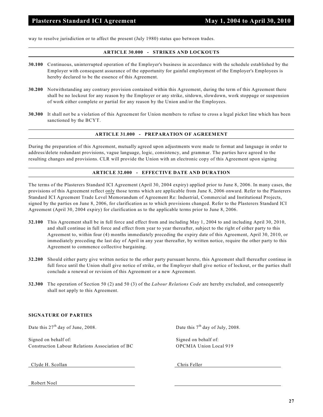way to resolve jurisdiction or to affect the present (July 1980) status quo between trades.

# **ARTICLE 30.000 - STRIKES AND LOCKOUTS**

- **30.100** Continuous, uninterrupted operation of the Employer's business in accordance with the schedule established by the Employer with consequent assurance of the opportunity for gainful employment of the Employer's Employees is hereby declared to be the essence of this Agreement.
- **30.200** Notwithstanding any contrary provision contained within this Agreement, during the term of this Agreement there shall be no lockout for any reason by the Employer or any strike, sitdown, slowdown, work stoppage or suspension of work either complete or partial for any reason by the Union and/or the Employees.
- **30.300** It shall not be a violation of this Agreement for Union members to refuse to cross a legal picket line which has been sanctioned by the BCYT.

#### **ARTICLE 31.000 - PREPARATION OF AGREEMENT**

During the preparation of this Agreement, mutually agreed upon adjustments were made to format and language in order to address/delete redundant provisions, vague language, logic, consistency, and grammar. The parties have agreed to the resulting changes and provisions. CLR will provide the Union with an electronic copy of this Agreement upon signing

# **ARTICLE 32.000 - EFFECTIVE DATE AND DURATION**

The terms of the Plasterers Standard ICI Agreement (April 30, 2004 expiry) applied prior to June 8, 2006. In many cases, the provisions of this Agreement reflect only those terms which are applicable from June 8, 2006 onward. Refer to the Plasterers Standard ICI Agreement Trade Level Memorandum of Agreement Re: Industrial, Commercial and Institutional Projects, signed by the parties on June 8, 2006, for clarification as to which provisions changed. Refer to the Plasterers Standard ICI Agreement (April 30, 2004 expiry) for clarification as to the applicable terms prior to June 8, 2006.

- **32.100** This Agreement shall be in full force and effect from and including May 1, 2004 to and including April 30, 2010, and shall continue in full force and effect from year to year thereafter, subject to the right of either party to this Agreement to, within four (4) months immediately preceding the expiry date of this Agreement, April 30, 2010, or immediately preceding the last day of April in any year thereafter, by written notice, require the other party to this Agreement to commence collective bargaining.
- **32.200** Should either party give written notice to the other party pursuant hereto, this Agreement shall thereafter continue in full force until the Union shall give notice of strike, or the Employer shall give notice of lockout, or the parties shall conclude a renewal or revision of this Agreement or a new Agreement.
- **32.300** The operation of Section 50 (2) and 50 (3) of the *Labour Relations Code* are hereby excluded, and consequently shall not apply to this Agreement.

# **SIGNATURE OF PARTIES**

Date this  $27<sup>th</sup>$  day of June, 2008. Date this  $7<sup>th</sup>$  day of July, 2008.

Signed on behalf of: Signed on behalf of: Signed on behalf of: Construction Labour Relations Association of BC OPCMIA Union Local 919

Clyde H. Scollan Chris Feller

Robert Noel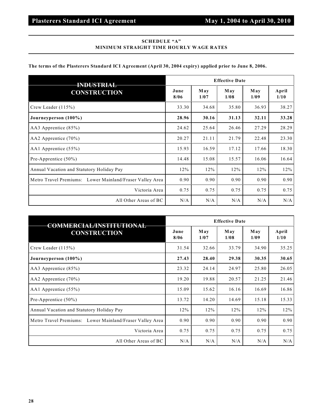# **SCHEDULE "A" MINIMUM STRAIGHT TIME HOURLY WAGE RATES**

# **The terms of the Plasterers Standard ICI Agreement (April 30, 2004 expiry) applied prior to June 8, 2006.**

| <b>CONSTRUCTION</b>                                      |       | <b>Effective Date</b> |             |                    |               |  |
|----------------------------------------------------------|-------|-----------------------|-------------|--------------------|---------------|--|
|                                                          |       | <b>May</b><br>1/07    | May<br>1/08 | <b>May</b><br>1/09 | April<br>1/10 |  |
| Crew Leader $(115%)$                                     | 33.30 | 34.68                 | 35.80       | 36.93              | 38.27         |  |
| Journeyperson (100%)                                     | 28.96 | 30.16                 | 31.13       | 32.11              | 33.28         |  |
| AA3 Apprentice $(85%)$                                   | 24.62 | 25.64                 | 26.46       | 27.29              | 28.29         |  |
| AA2 Apprentice $(70\%)$                                  | 20.27 | 21.11                 | 21.79       | 22.48              | 23.30         |  |
| AA1 Apprentice (55%)                                     | 15.93 | 16.59                 | 17.12       | 17.66              | 18.30         |  |
| Pre-Apprentice (50%)                                     | 14.48 | 15.08                 | 15.57       | 16.06              | 16.64         |  |
| Annual Vacation and Statutory Holiday Pay                | 12%   | 12%                   | 12%         | 12%                | 12%           |  |
| Metro Travel Premiums: Lower Mainland/Fraser Valley Area | 0.90  | 0.90                  | 0.90        | 0.90               | 0.90          |  |
| Victoria Area                                            | 0.75  | 0.75                  | 0.75        | 0.75               | 0.75          |  |
| All Other Areas of BC                                    | N/A   | N/A                   | N/A         | N/A                | N/A           |  |

| <b>COMMERCIAL/INSTITUTIONAL</b>                          |              | <b>Effective Date</b> |             |                    |               |  |  |
|----------------------------------------------------------|--------------|-----------------------|-------------|--------------------|---------------|--|--|
| <b>CONSTRUCTION</b>                                      | June<br>8/06 | May<br>1/07           | May<br>1/08 | <b>May</b><br>1/09 | April<br>1/10 |  |  |
| Crew Leader $(115%)$                                     | 31.54        | 32.66                 | 33.79       | 34.90              | 35.25         |  |  |
| Journeyperson (100%)                                     | 27.43        | 28.40                 | 29.38       | 30.35              | 30.65         |  |  |
| AA3 Apprentice (85%)                                     | 23.32        | 24.14                 | 24.97       | 25.80              | 26.05         |  |  |
| AA2 Apprentice $(70\%)$                                  | 19.20        | 19.88                 | 20.57       | 21.25              | 21.46         |  |  |
| AA1 Apprentice $(55\%)$                                  | 15.09        | 15.62                 | 16.16       | 16.69              | 16.86         |  |  |
| Pre-Apprentice $(50\%)$                                  | 13.72        | 14.20                 | 14.69       | 15.18              | 15.33         |  |  |
| Annual Vacation and Statutory Holiday Pay                | 12%          | 12%                   | 12%         | 12%                | 12%           |  |  |
| Metro Travel Premiums: Lower Mainland/Fraser Valley Area | 0.90         | 0.90                  | 0.90        | 0.90               | 0.90          |  |  |
| Victoria Area                                            | 0.75         | 0.75                  | 0.75        | 0.75               | 0.75          |  |  |
| All Other Areas of BC                                    | N/A          | N/A                   | N/A         | N/A                | N/A           |  |  |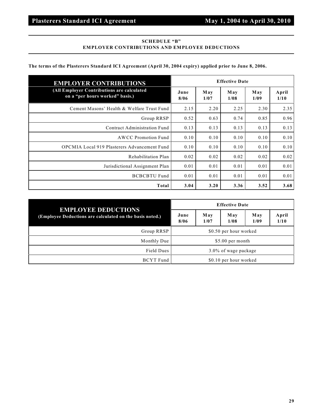# **SCHEDULE "B" EMPLOYER CONTRIBUTIONS AND EMPLOYEE DEDUCTIONS**

# **The terms of the Plasterers Standard ICI Agreement (April 30, 2004 expiry) applied prior to June 8, 2006.**

| <b>EMPLOYER CONTRIBUTIONS</b>                                                 |              | <b>Effective Date</b> |             |             |               |
|-------------------------------------------------------------------------------|--------------|-----------------------|-------------|-------------|---------------|
| (All Employer Contributions are calculated<br>on a "per hours worked" basis.) | June<br>8/06 | May<br>1/07           | May<br>1/08 | May<br>1/09 | April<br>1/10 |
| Cement Masons' Health & Welfare Trust Fund                                    | 2.15         | 2.20                  | 2.25        | 2.30        | 2.35          |
| Group RRSP                                                                    | 0.52         | 0.63                  | 0.74        | 0.85        | 0.96          |
| Contract Administration Fund                                                  | 0.13         | 0.13                  | 0.13        | 0.13        | 0.13          |
| AWCC Promotion Fund                                                           | 0.10         | 0.10                  | 0.10        | 0.10        | 0.10          |
| <b>OPCMIA Local 919 Plasterers Advancement Fund</b>                           | 0.10         | 0.10                  | 0.10        | 0.10        | 0.10          |
| Rehabilitation Plan                                                           | 0.02         | 0.02                  | 0.02        | 0.02        | 0.02          |
| Jurisdictional Assignment Plan                                                | 0.01         | 0.01                  | 0.01        | 0.01        | 0.01          |
| <b>BCBCBTU Fund</b>                                                           | 0.01         | 0.01                  | 0.01        | 0.01        | 0.01          |
| Total                                                                         | 3.04         | 3.20                  | 3.36        | 3.52        | 3.68          |

| <b>EMPLOYEE DEDUCTIONS</b><br>(Employee Deductions are calculated on the basis noted.) | <b>Effective Date</b>   |             |             |                    |
|----------------------------------------------------------------------------------------|-------------------------|-------------|-------------|--------------------|
|                                                                                        | June<br>8/06            | May<br>1/07 | May<br>1/08 | <b>May</b><br>1/09 |
| Group RRSP                                                                             | \$0.50 per hour worked  |             |             |                    |
| Monthly Due                                                                            | \$5.00 per month        |             |             |                    |
| Field Dues                                                                             | $3.0\%$ of wage package |             |             |                    |
| <b>BCYT</b> Fund                                                                       | \$0.10 per hour worked  |             |             |                    |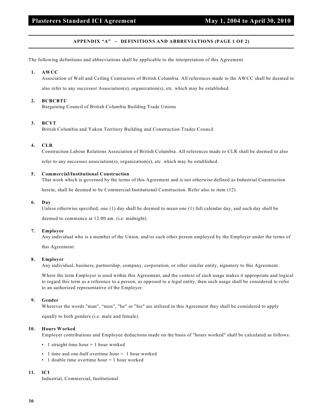# **Plasterers Standard ICI Agreement May 1, 2004 to April 30, 2010**

# **APPENDIX "A" - DEFINITIONS AND ABBREVIATIONS (PAGE 1 OF 2)**

The following definitions and abbreviations shall be applicable to the interpretation of this Agreement.

#### **1. AWCC**

Association of Wall and Ceiling Contractors of British Columbia. All references made to the AWCC shall be deemed to

also refer to any successor Association(s), organization(s), etc. which may be established.

#### **2. BCBCBTU**

Bargaining Council of British Columbia Building Trade Unions

#### **3. BCYT**

British Columbia and Yukon Territory Building and Construction Trades Council

# **4. CLR**

Construction Labour Relations Association of British Columbia. All references made to CLR shall be deemed to also refer to any successor association(s), organization(s), etc. which may be established.

# **5. Commercial/Institutional Construction**

That work which is governed by the terms of this Agreement and is not otherwise defined as Industrial Construction

herein, shall be deemed to be Commercial/Institutional Construction. Refer also to item (12).

# **6. Day**

Unless otherwise specified, one (1) day shall be deemed to mean one (1) full calendar day, and such day shall be

deemed to commence at 12:00 am. (i.e. midnight).

# **7. Employee**

Any individual who is a member of the Union, and/or such other person employed by the Employer under the terms of

this Agreement.

#### **8. Employer**

Any individual, business, partnership, company, corporation, or other similar entity, signatory to this Agreement.

Where the term Employer is used within this Agreement, and the context of such usage makes it appropriate and logical to regard this term as a reference to a person, as opposed to a legal entity, then such usage shall be considered to refer to an authorized representative of the Employer.

#### **9. Gender**

Wherever the words "man", "men", "he" or "his" are utilized in this Agreement they shall be considered to apply

equally to both genders (i.e. male and female).

#### **10. Hours Worked**

Employer contributions and Employee deductions made on the basis of "hours worked" shall be calculated as follows:

- 1 straight time hour = 1 hour worked
- 1 time and one-half overtime hour = 1 hour worked
- 1 double time overtime hour = 1 hour worked

# **11. ICI**

Industrial, Commercial, Institutional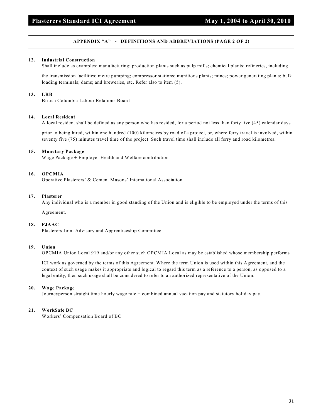# **APPENDIX "A" - DEFINITIONS AND ABBREVIATIONS (PAGE 2 OF 2)**

# **12. Industrial Construction**

Shall include as examples: manufacturing; production plants such as pulp mills; chemical plants; refineries, including

the transmission facilities; metre pumping; compressor stations; munitions plants; mines; power generating plants; bulk loading terminals; dams; and breweries, etc. Refer also to item (5).

# **13. LRB**

British Columbia Labour Relations Board

# **14. Local Resident**

A local resident shall be defined as any person who has resided, for a period not less than forty five (45) calendar days

prior to being hired, within one hundred (100) kilometres by road of a project, or, where ferry travel is involved, within seventy five (75) minutes travel time of the project. Such travel time shall include all ferry and road kilometres.

# **15. Monetary Package**

Wage Package + Employer Health and Welfare contribution

# **16. OPCMIA**

Operative Plasterers' & Cement Masons' International Association

# **17. Plasterer**

Any individual who is a member in good standing of the Union and is eligible to be employed under the terms of this

Agreement.

#### **18. PJAAC**

Plasterers Joint Advisory and Apprenticeship Committee

#### **19. Union**

OPCMIA Union Local 919 and/or any other such OPCMIA Local as may be established whose membership performs

ICI work as governed by the terms of this Agreement. Where the term Union is used within this Agreement, and the context of such usage makes it appropriate and logical to regard this term as a reference to a person, as opposed to a legal entity, then such usage shall be considered to refer to an authorized representative of the Union.

#### **20. Wage Package**

Journeyperson straight time hourly wage rate + combined annual vacation pay and statutory holiday pay.

# **21. WorkSafe BC**

Workers' Compensation Board of BC